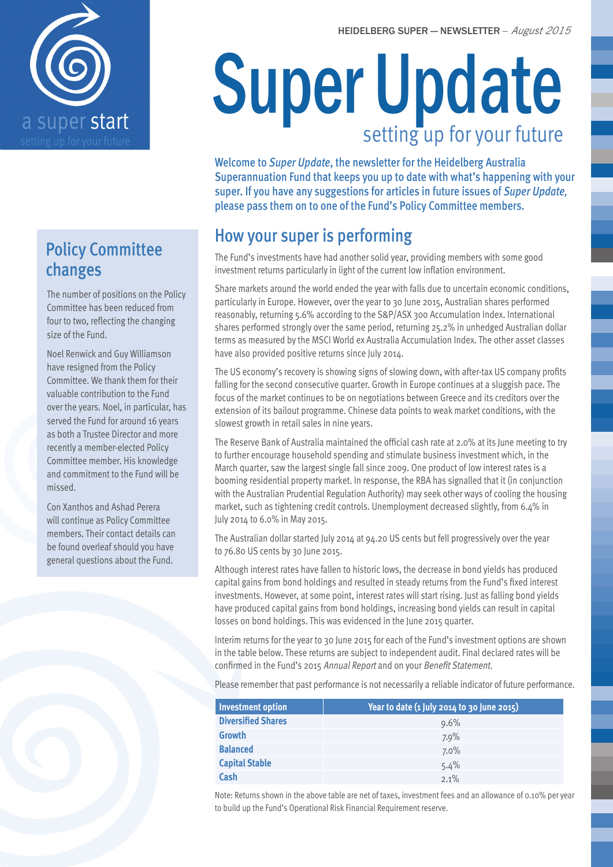



## Policy Committee changes

The number of positions on the Policy Committee has been reduced from four to two, reflecting the changing size of the Fund.

Noel Renwick and Guy Williamson have resigned from the Policy Committee. We thank them for their valuable contribution to the Fund over the years. Noel, in particular, has served the Fund for around 16 years as both a Trustee Director and more recently a member-elected Policy Committee member. His knowledge and commitment to the Fund will be missed.

Con Xanthos and Ashad Perera will continue as Policy Committee members. Their contact details can be found overleaf should you have general questions about the Fund.

# Super Update setting up for your future

Welcome to *Super Update*, the newsletter for the Heidelberg Australia Superannuation Fund that keeps you up to date with what's happening with your super. If you have any suggestions for articles in future issues of *Super Update,* please pass them on to one of the Fund's Policy Committee members.

# How your super is performing

The Fund's investments have had another solid year, providing members with some good investment returns particularly in light of the current low inflation environment.

Share markets around the world ended the year with falls due to uncertain economic conditions, particularly in Europe. However, over the year to 30 June 2015, Australian shares performed reasonably, returning 5.6% according to the S&P/ASX 300 Accumulation Index. International shares performed strongly over the same period, returning 25.2% in unhedged Australian dollar terms as measured by the MSCI World ex Australia Accumulation Index. The other asset classes have also provided positive returns since July 2014.

The US economy's recovery is showing signs of slowing down, with after-tax US company profits falling for the second consecutive quarter. Growth in Europe continues at a sluggish pace. The focus of the market continues to be on negotiations between Greece and its creditors over the extension of its bailout programme. Chinese data points to weak market conditions, with the slowest growth in retail sales in nine years.

The Reserve Bank of Australia maintained the official cash rate at 2.0% at its June meeting to try to further encourage household spending and stimulate business investment which, in the March quarter, saw the largest single fall since 2009. One product of low interest rates is a booming residential property market. In response, the RBA has signalled that it (in conjunction with the Australian Prudential Regulation Authority) may seek other ways of cooling the housing market, such as tightening credit controls. Unemployment decreased slightly, from 6.4% in July 2014 to 6.0% in May 2015.

The Australian dollar started July 2014 at 94.20 US cents but fell progressively over the year to 76.80 US cents by 30 June 2015.

Although interest rates have fallen to historic lows, the decrease in bond yields has produced capital gains from bond holdings and resulted in steady returns from the Fund's fixed interest investments. However, at some point, interest rates will start rising. Just as falling bond yields have produced capital gains from bond holdings, increasing bond yields can result in capital losses on bond holdings. This was evidenced in the June 2015 quarter.

Interim returns for the year to 30 June 2015 for each of the Fund's investment options are shown in the table below. These returns are subject to independent audit. Final declared rates will be confirmed in the Fund's 2015 Annual Report and on your Benefit Statement.

Please remember that past performance is not necessarily a reliable indicator of future performance.

| <b>Investment option</b>  | Year to date (1 July 2014 to 30 June 2015) |  |
|---------------------------|--------------------------------------------|--|
| <b>Diversified Shares</b> | $9.6\%$                                    |  |
| <b>Growth</b>             | 7.9%                                       |  |
| <b>Balanced</b>           | $7.0\%$                                    |  |
| <b>Capital Stable</b>     | 5.4%                                       |  |
| Cash                      | $2.1\%$                                    |  |

Note: Returns shown in the above table are net of taxes, investment fees and an allowance of 0.10% per year to build up the Fund's Operational Risk Financial Requirement reserve.